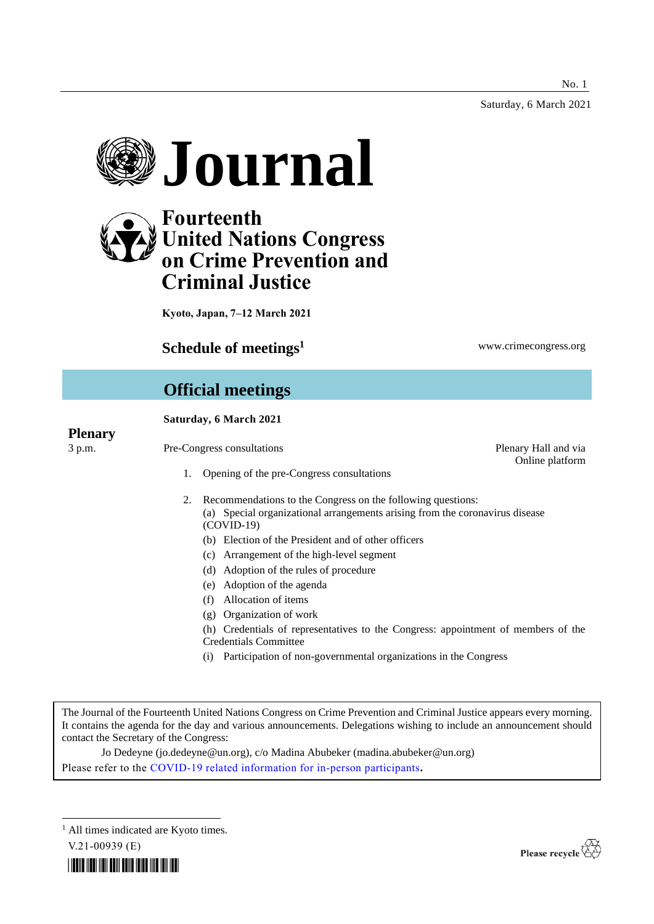Saturday, 6 March 2021





**Kyoto, Japan, 7–12 March 2021**

# **Schedule of meetings<sup>1</sup> www.crimecongress.org**

Online platform

# **Official meetings**

# **Saturday, 6 March 2021**

# **Plenary**

- 3 p.m. Pre-Congress consultations Plenary Hall and via
	- 1. Opening of the pre-Congress consultations
	- 2. Recommendations to the Congress on the following questions: (a) Special organizational arrangements arising from the coronavirus disease (COVID-19)
		- (b) Election of the President and of other officers
		- (c) Arrangement of the high-level segment
		- (d) Adoption of the rules of procedure
		- (e) Adoption of the agenda
		- (f) Allocation of items
		- (g) Organization of work
		- (h) Credentials of representatives to the Congress: appointment of members of the Credentials Committee
		- (i) Participation of non-governmental organizations in the Congress

The Journal of the Fourteenth United Nations Congress on Crime Prevention and Criminal Justice appears every morning. It contains the agenda for the day and various announcements. Delegations wishing to include an announcement should contact the Secretary of the Congress:

Jo Dedeyne (jo.dedeyne@un.org), c/o Madina Abubeker (madina.abubeker@un.org) Please refer to the [COVID-19 related information for in-person participants](https://www.unodc.org/unodc/en/crimecongress/covid-19.html)**.**

<sup>1</sup> All times indicated are Kyoto times.

V.21-00939 (E)



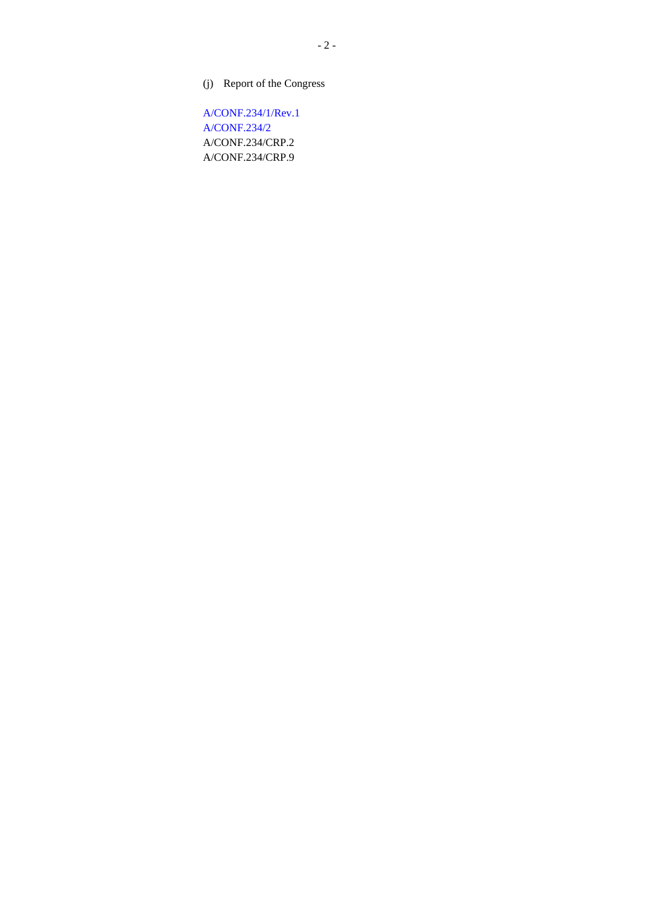(j) Report of the Congress

[A/CONF.234/1/Rev.1](http://undocs.org/A/CONF.234/1/Rev.1) [A/CONF.234/2](http://undocs.org/A/CONF.234/2) A/CONF.234/CRP.2 A/CONF.234/CRP.9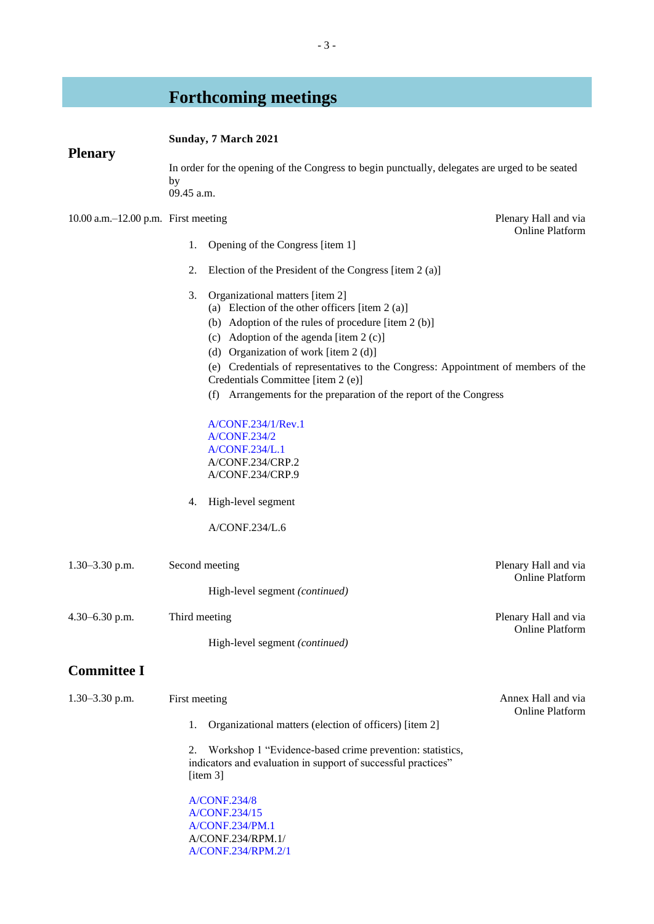# **Forthcoming meetings**

# **Sunday, 7 March 2021**

# **Plenary**

In order for the opening of the Congress to begin punctually, delegates are urged to be seated by 09.45 a.m.

10.00 a.m.–12.00 p.m. First meeting Plenary Hall and via

- 1. Opening of the Congress [item 1]
- 2. Election of the President of the Congress [item 2 (a)]
- 3. Organizational matters [item 2]
	- (a) Election of the other officers [item 2 (a)]
	- (b) Adoption of the rules of procedure [item 2 (b)]
	- (c) Adoption of the agenda [item 2 (c)]
	- (d) Organization of work [item 2 (d)]
	- (e) Credentials of representatives to the Congress: Appointment of members of the Credentials Committee [item 2 (e)]
	- (f) Arrangements for the preparation of the report of the Congress

[A/CONF.234/1/Rev.1](http://undocs.org/A/CONF.234/1/Rev.1) [A/CONF.234/2](http://undocs.org/A/CONF.234/2) [A/CONF.234/L.1](http://undocs.org/A/CONF.234/L.1) A/CONF.234/CRP.2 A/CONF.234/CRP.9

4. High-level segment

A/CONF.234/L.6

| $1.30 - 3.30$ p.m. | Second meeting<br>High-level segment (continued)                                                                                            | Plenary Hall and via<br><b>Online Platform</b> |
|--------------------|---------------------------------------------------------------------------------------------------------------------------------------------|------------------------------------------------|
| $4.30 - 6.30$ p.m. | Third meeting<br>High-level segment (continued)                                                                                             | Plenary Hall and via<br><b>Online Platform</b> |
| <b>Committee I</b> |                                                                                                                                             |                                                |
| $1.30 - 3.30$ p.m. | First meeting                                                                                                                               | Annex Hall and via<br><b>Online Platform</b>   |
|                    | Organizational matters (election of officers) [item 2]<br>1.                                                                                |                                                |
|                    | 2. Workshop 1 "Evidence-based crime prevention: statistics,<br>indicators and evaluation in support of successful practices"<br>[item $3$ ] |                                                |
|                    | <b>A/CONF.234/8</b><br>A/CONF.234/15                                                                                                        |                                                |

[A/CONF.234/PM.1](http://undocs.org/A/CONF.234/PM.1) A/CONF.234/RPM.1/ [A/CONF.234/RPM.2/1](http://undocs.org/A/CONF.234/RPM.2/1) Online Platform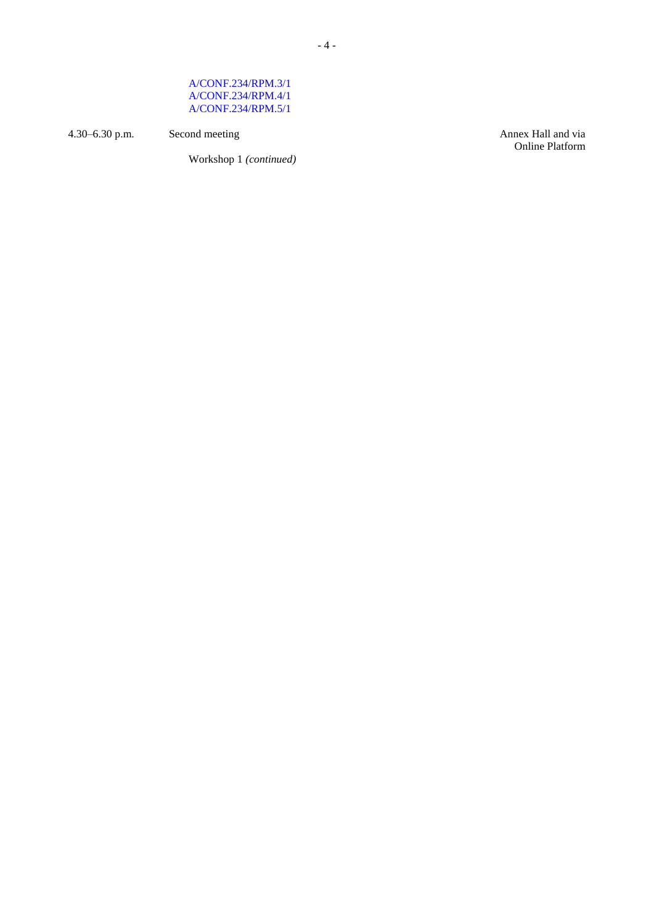# [A/CONF.234/RPM.3/1](http://undocs.org/A/CONF.234/RPM.3/1) [A/CONF.234/RPM.4/1](http://undocs.org/A/CONF.234/RPM.4/1) [A/CONF.234/RPM.5/1](http://undocs.org/A/CONF.234/RPM.5/1)

4.30–6.30 p.m. Second meeting Second meeting Annex Hall and via

Workshop 1 *(continued)*

Online Platform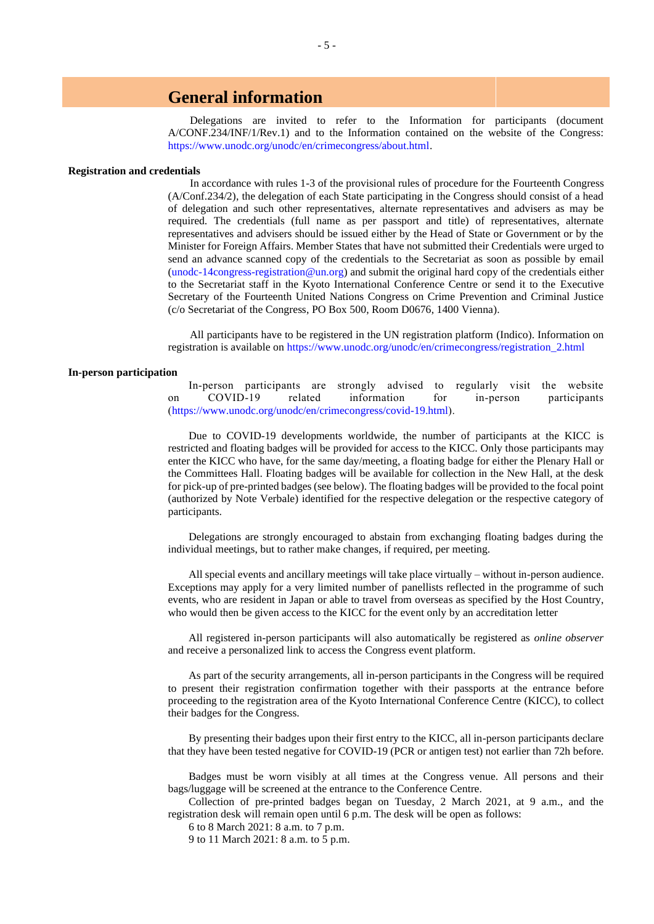# **General information**

Delegations are invited to refer to the Information for participants (document A/CONF.234/INF/1/Rev.1) and to the Information contained on the website of the Congress: [https://www.unodc.org/unodc/en/crimecongress/about.html.](https://www.unodc.org/unodc/en/crimecongress/about.html)

#### **Registration and credentials**

In accordance with rules 1-3 of the provisional rules of procedure for the Fourteenth Congress (A/Conf.234/2), the delegation of each State participating in the Congress should consist of a head of delegation and such other representatives, alternate representatives and advisers as may be required. The credentials (full name as per passport and title) of representatives, alternate representatives and advisers should be issued either by the Head of State or Government or by the Minister for Foreign Affairs. Member States that have not submitted their Credentials were urged to send an advance scanned copy of the credentials to the Secretariat as soon as possible by email [\(unodc-14congress-registration@un.org\)](mailto:unodc-14congress-registration@un.org) and submit the original hard copy of the credentials either to the Secretariat staff in the Kyoto International Conference Centre or send it to the Executive Secretary of the Fourteenth United Nations Congress on Crime Prevention and Criminal Justice (c/o Secretariat of the Congress, PO Box 500, Room D0676, 1400 Vienna).

All participants have to be registered in the UN registration platform (Indico). Information on registration is available on [https://www.unodc.org/unodc/en/crimecongress/registration\\_2.html](https://www.unodc.org/unodc/en/crimecongress/registration_2.html)

## **In-person participation**

In-person participants are strongly advised to regularly visit the website on COVID-19 related information for in-person participants [\(https://www.unodc.org/unodc/en/crimecongress/covid-19.html\)](https://www.unodc.org/unodc/en/crimecongress/covid-19.html).

Due to COVID-19 developments worldwide, the number of participants at the KICC is restricted and floating badges will be provided for access to the KICC. Only those participants may enter the KICC who have, for the same day/meeting, a floating badge for either the Plenary Hall or the Committees Hall. Floating badges will be available for collection in the New Hall, at the desk for pick-up of pre-printed badges (see below). The floating badges will be provided to the focal point (authorized by Note Verbale) identified for the respective delegation or the respective category of participants.

Delegations are strongly encouraged to abstain from exchanging floating badges during the individual meetings, but to rather make changes, if required, per meeting.

All special events and ancillary meetings will take place virtually – without in-person audience. Exceptions may apply for a very limited number of panellists reflected in the programme of such events, who are resident in Japan or able to travel from overseas as specified by the Host Country, who would then be given access to the KICC for the event only by an accreditation letter

All registered in-person participants will also automatically be registered as *online observer* and receive a personalized link to access the Congress event platform.

As part of the security arrangements, all in-person participants in the Congress will be required to present their registration confirmation together with their passports at the entrance before proceeding to the registration area of the Kyoto International Conference Centre (KICC), to collect their badges for the Congress.

By presenting their badges upon their first entry to the KICC, all in-person participants declare that they have been tested negative for COVID-19 (PCR or antigen test) not earlier than 72h before.

Badges must be worn visibly at all times at the Congress venue. All persons and their bags/luggage will be screened at the entrance to the Conference Centre.

Collection of pre-printed badges began on Tuesday, 2 March 2021, at 9 a.m., and the registration desk will remain open until 6 p.m. The desk will be open as follows:

6 to 8 March 2021: 8 a.m. to 7 p.m.

9 to 11 March 2021: 8 a.m. to 5 p.m.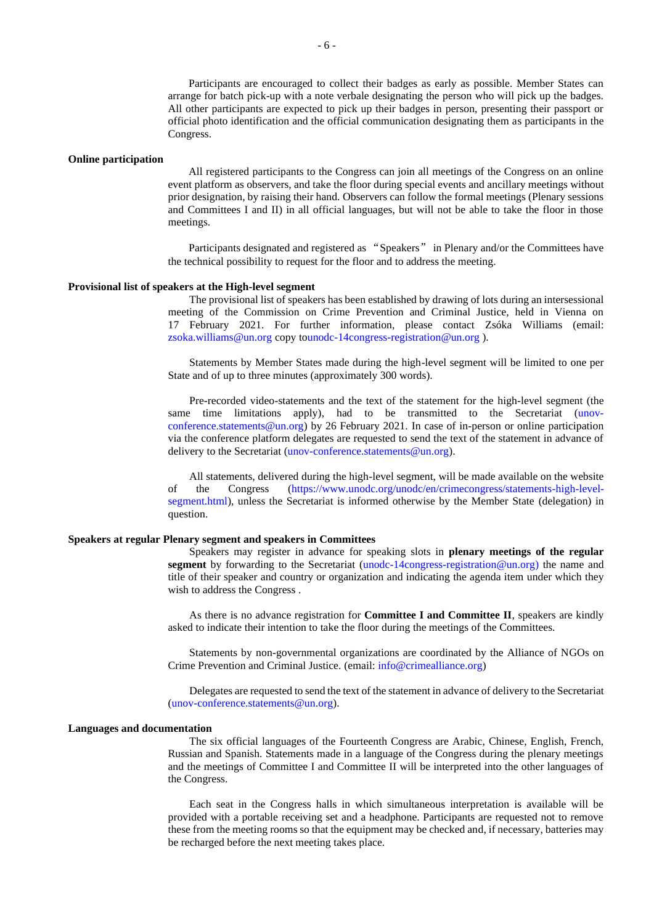Participants are encouraged to collect their badges as early as possible. Member States can arrange for batch pick-up with a note verbale designating the person who will pick up the badges. All other participants are expected to pick up their badges in person, presenting their passport or official photo identification and the official communication designating them as participants in the Congress.

#### **Online participation**

All registered participants to the Congress can join all meetings of the Congress on an online event platform as observers, and take the floor during special events and ancillary meetings without prior designation, by raising their hand. Observers can follow the formal meetings (Plenary sessions and Committees I and II) in all official languages, but will not be able to take the floor in those meetings.

Participants designated and registered as "Speakers" in Plenary and/or the Committees have the technical possibility to request for the floor and to address the meeting.

# **Provisional list of speakers at the High-level segment**

The provisional list of speakers has been established by drawing of lots during an intersessional meeting of the Commission on Crime Prevention and Criminal Justice, held in Vienna on 17 February 2021. For further information, please contact Zsóka Williams (email: [zsoka.williams@un.org](mailto:doris.resch@unodc.org) copy t[ounodc-14congress-registration@un.org](mailto:unodc-14congress-registration@un.org) ).

Statements by Member States made during the high-level segment will be limited to one per State and of up to three minutes (approximately 300 words).

Pre-recorded video-statements and the text of the statement for the high-level segment (the same time limitations apply), had to be transmitted to the Secretariat [\(unov](mailto:unov-conference.statements@un.org)[conference.statements@un.org\)](mailto:unov-conference.statements@un.org) by 26 February 2021. In case of in-person or online participation via the conference platform delegates are requested to send the text of the statement in advance of delivery to the Secretariat [\(unov-conference.statements@un.org\)](mailto:unov-conference.statements@un.org).

All statements, delivered during the high-level segment, will be made available on the website of the Congress [\(https://www.unodc.org/unodc/en/crimecongress/statements-high-level](https://www.unodc.org/unodc/en/crimecongress/statements-high-level-segment.html)[segment.html\)](https://www.unodc.org/unodc/en/crimecongress/statements-high-level-segment.html), unless the Secretariat is informed otherwise by the Member State (delegation) in question.

## **Speakers at regular Plenary segment and speakers in Committees**

Speakers may register in advance for speaking slots in **plenary meetings of the regular segment** by forwarding to the Secretariat [\(unodc-14congress-registration@un.org\)](mailto:unodc-14congress-registration@un.org) the name and title of their speaker and country or organization and indicating the agenda item under which they wish to address the Congress .

As there is no advance registration for **Committee I and Committee II**, speakers are kindly asked to indicate their intention to take the floor during the meetings of the Committees.

Statements by non-governmental organizations are coordinated by the Alliance of NGOs on Crime Prevention and Criminal Justice. (email: [info@crimealliance.org\)](mailto:info@crimealliance.org)

Delegates are requested to send the text of the statement in advance of delivery to the Secretariat [\(unov-conference.statements@un.org\)](mailto:unov-conference.statements@un.org).

#### **Languages and documentation**

The six official languages of the Fourteenth Congress are Arabic, Chinese, English, French, Russian and Spanish. Statements made in a language of the Congress during the plenary meetings and the meetings of Committee I and Committee II will be interpreted into the other languages of the Congress.

Each seat in the Congress halls in which simultaneous interpretation is available will be provided with a portable receiving set and a headphone. Participants are requested not to remove these from the meeting rooms so that the equipment may be checked and, if necessary, batteries may be recharged before the next meeting takes place.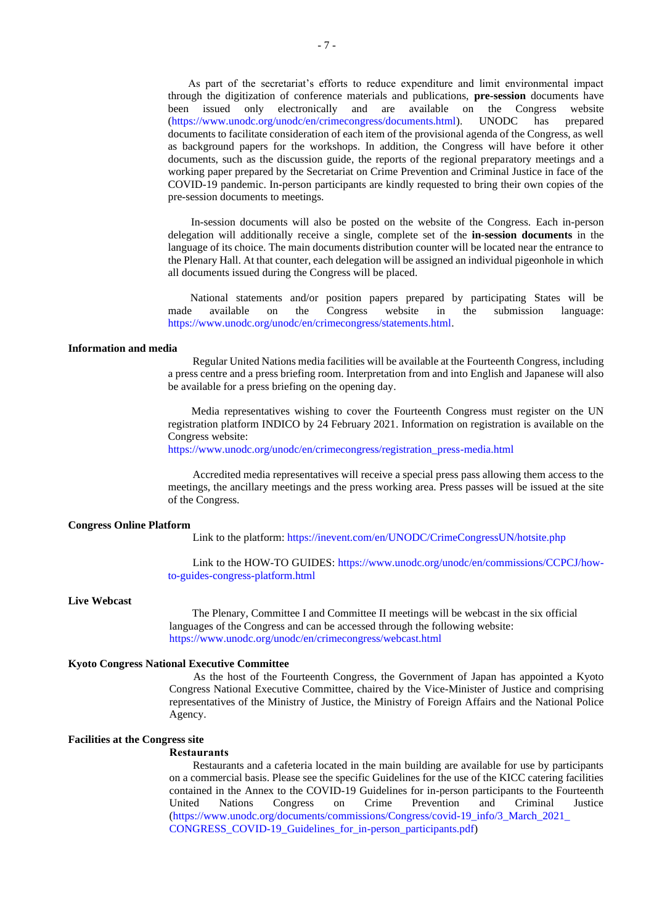As part of the secretariat's efforts to reduce expenditure and limit environmental impact through the digitization of conference materials and publications, **pre-session** documents have been issued only electronically and are available on the Congress website (https://www.unodc.org/unodc/en/crimecongress/documents.html). UNODC has prepared [\(https://www.unodc.org/unodc/en/crimecongress/documents.html\)](https://www.unodc.org/unodc/en/crimecongress/documents.html). UNODC has prepared documents to facilitate consideration of each item of the provisional agenda of the Congress, as well as background papers for the workshops. In addition, the Congress will have before it other documents, such as the discussion guide, the reports of the regional preparatory meetings and a working paper prepared by the Secretariat on Crime Prevention and Criminal Justice in face of the COVID-19 pandemic. In-person participants are kindly requested to bring their own copies of the pre-session documents to meetings.

In-session documents will also be posted on the website of the Congress. Each in-person delegation will additionally receive a single, complete set of the **in-session documents** in the language of its choice. The main documents distribution counter will be located near the entrance to the Plenary Hall. At that counter, each delegation will be assigned an individual pigeonhole in which all documents issued during the Congress will be placed.

National statements and/or position papers prepared by participating States will be made available on the Congress website in the submission language: [https://www.unodc.org/unodc/en/crimecongress/statements.html.](https://www.unodc.org/unodc/en/crimecongress/statements.html)

#### **Information and media**

Regular United Nations media facilities will be available at the Fourteenth Congress, including a press centre and a press briefing room. Interpretation from and into English and Japanese will also be available for a press briefing on the opening day.

Media representatives wishing to cover the Fourteenth Congress must register on the UN registration platform INDICO by 24 February 2021. Information on registration is available on the Congress website:

[https://www.unodc.org/unodc/en/crimecongress/registration\\_press-media.html](https://www.unodc.org/unodc/en/crimecongress/registration_press-media.html)

Accredited media representatives will receive a special press pass allowing them access to the meetings, the ancillary meetings and the press working area. Press passes will be issued at the site of the Congress.

#### **Congress Online Platform**

Link to the platform[: https://inevent.com/en/UNODC/CrimeCongressUN/hotsite.php](https://inevent.com/en/UNODC/CrimeCongressUN/hotsite.php)

Link to the HOW-TO GUIDES[: https://www.unodc.org/unodc/en/commissions/CCPCJ/how](https://www.unodc.org/unodc/en/commissions/CCPCJ/how-to-guides-congress-platform.html)[to-guides-congress-platform.html](https://www.unodc.org/unodc/en/commissions/CCPCJ/how-to-guides-congress-platform.html)

## **Live Webcast**

The Plenary, Committee I and Committee II meetings will be webcast in the six official languages of the Congress and can be accessed through the following website: <https://www.unodc.org/unodc/en/crimecongress/webcast.html>

#### **Kyoto Congress National Executive Committee**

As the host of the Fourteenth Congress, the Government of Japan has appointed a Kyoto Congress National Executive Committee, chaired by the Vice-Minister of Justice and comprising representatives of the Ministry of Justice, the Ministry of Foreign Affairs and the National Police Agency.

## **Facilities at the Congress site**

#### **Restaurants**

Restaurants and a cafeteria located in the main building are available for use by participants on a commercial basis. Please see the specific Guidelines for the use of the KICC catering facilities contained in the Annex to the COVID-19 Guidelines for in-person participants to the Fourteenth United Nations Congress on Crime Prevention and Criminal Justice [\(https://www.unodc.org/documents/commissions/Congress/covid-19\\_info/3\\_March\\_2021\\_](https://www.unodc.org/documents/commissions/Congress/covid-19_info/3_March_2021_CONGRESS_COVID-19_Guidelines_for_in-person_participants.pdf) [CONGRESS\\_COVID-19\\_Guidelines\\_for\\_in-person\\_participants.pdf\)](https://www.unodc.org/documents/commissions/Congress/covid-19_info/3_March_2021_CONGRESS_COVID-19_Guidelines_for_in-person_participants.pdf)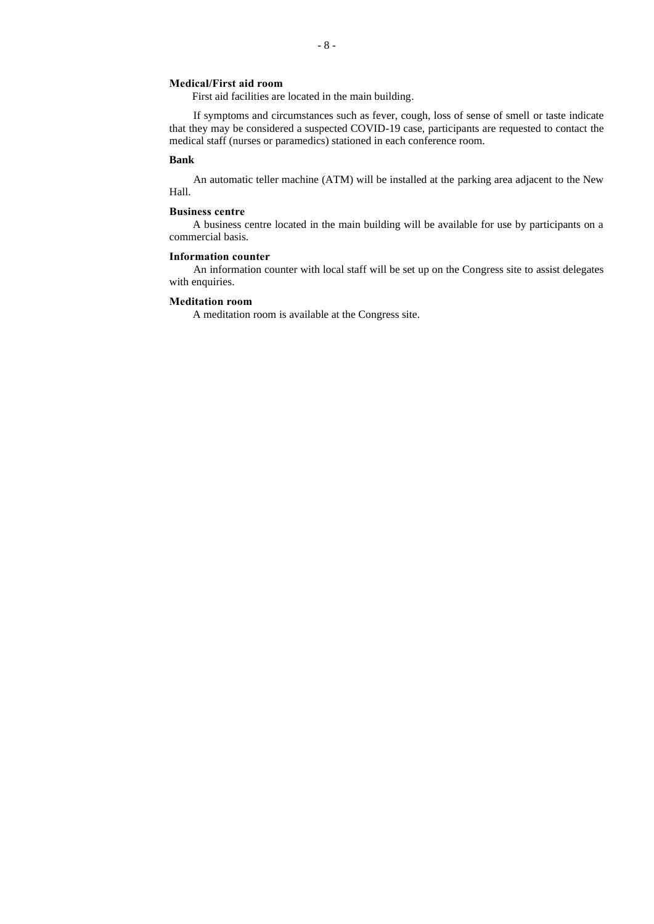## **Medical/First aid room**

First aid facilities are located in the main building.

If symptoms and circumstances such as fever, cough, loss of sense of smell or taste indicate that they may be considered a suspected COVID-19 case, participants are requested to contact the medical staff (nurses or paramedics) stationed in each conference room.

#### **Bank**

An automatic teller machine (ATM) will be installed at the parking area adjacent to the New Hall.

## **Business centre**

A business centre located in the main building will be available for use by participants on a commercial basis.

## **Information counter**

An information counter with local staff will be set up on the Congress site to assist delegates with enquiries.

### **Meditation room**

A meditation room is available at the Congress site.